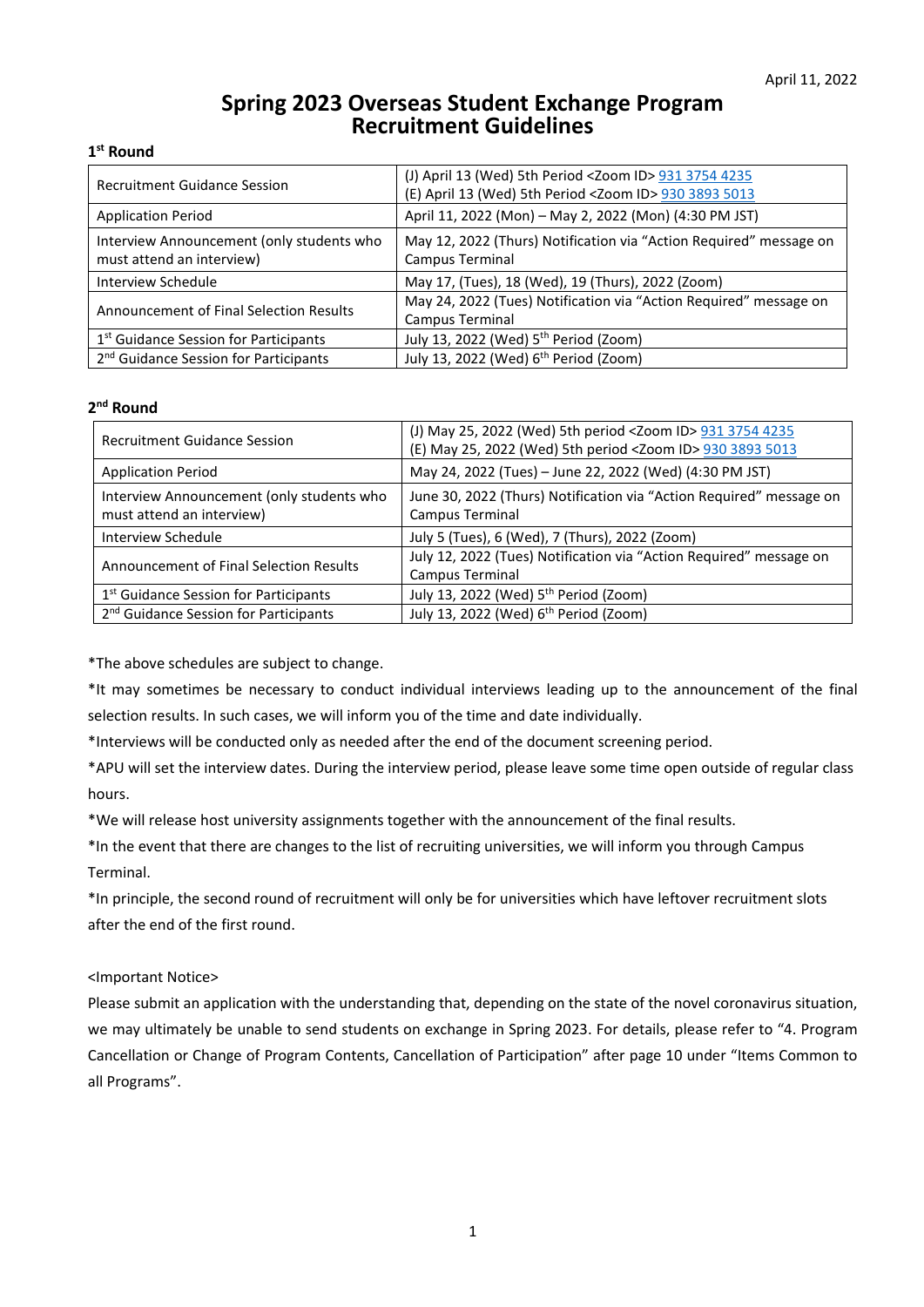# **Spring 2023 Overseas Student Exchange Program Recruitment Guidelines**

## **1st Round**

| <b>Recruitment Guidance Session</b>                                    | (J) April 13 (Wed) 5th Period < Zoom ID > 931 3754 4235<br>(E) April 13 (Wed) 5th Period < Zoom ID > 930 3893 5013 |
|------------------------------------------------------------------------|--------------------------------------------------------------------------------------------------------------------|
| <b>Application Period</b>                                              | April 11, 2022 (Mon) - May 2, 2022 (Mon) (4:30 PM JST)                                                             |
| Interview Announcement (only students who<br>must attend an interview) | May 12, 2022 (Thurs) Notification via "Action Required" message on<br>Campus Terminal                              |
| Interview Schedule                                                     | May 17, (Tues), 18 (Wed), 19 (Thurs), 2022 (Zoom)                                                                  |
| Announcement of Final Selection Results                                | May 24, 2022 (Tues) Notification via "Action Required" message on<br>Campus Terminal                               |
| 1 <sup>st</sup> Guidance Session for Participants                      | July 13, 2022 (Wed) 5 <sup>th</sup> Period (Zoom)                                                                  |
| 2 <sup>nd</sup> Guidance Session for Participants                      | July 13, 2022 (Wed) 6 <sup>th</sup> Period (Zoom)                                                                  |

## **2nd Round**

| <b>Recruitment Guidance Session</b>                                    | (J) May 25, 2022 (Wed) 5th period < Zoom ID > 931 3754 4235<br>(E) May 25, 2022 (Wed) 5th period <zoom id=""> 930 3893 5013</zoom> |
|------------------------------------------------------------------------|------------------------------------------------------------------------------------------------------------------------------------|
| <b>Application Period</b>                                              | May 24, 2022 (Tues) - June 22, 2022 (Wed) (4:30 PM JST)                                                                            |
| Interview Announcement (only students who<br>must attend an interview) | June 30, 2022 (Thurs) Notification via "Action Required" message on<br>Campus Terminal                                             |
| Interview Schedule                                                     | July 5 (Tues), 6 (Wed), 7 (Thurs), 2022 (Zoom)                                                                                     |
| Announcement of Final Selection Results                                | July 12, 2022 (Tues) Notification via "Action Required" message on<br>Campus Terminal                                              |
| 1 <sup>st</sup> Guidance Session for Participants                      | July 13, 2022 (Wed) 5 <sup>th</sup> Period (Zoom)                                                                                  |
| 2 <sup>nd</sup> Guidance Session for Participants                      | July 13, 2022 (Wed) 6th Period (Zoom)                                                                                              |

\*The above schedules are subject to change.

\*It may sometimes be necessary to conduct individual interviews leading up to the announcement of the final selection results. In such cases, we will inform you of the time and date individually.

\*Interviews will be conducted only as needed after the end of the document screening period.

\*APU will set the interview dates. During the interview period, please leave some time open outside of regular class hours.

\*We will release host university assignments together with the announcement of the final results.

\*In the event that there are changes to the list of recruiting universities, we will inform you through Campus Terminal.

\*In principle, the second round of recruitment will only be for universities which have leftover recruitment slots after the end of the first round.

## <Important Notice>

Please submit an application with the understanding that, depending on the state of the novel coronavirus situation, we may ultimately be unable to send students on exchange in Spring 2023. For details, please refer to "4. Program Cancellation or Change of Program Contents, Cancellation of Participation" after page 10 under "Items Common to all Programs".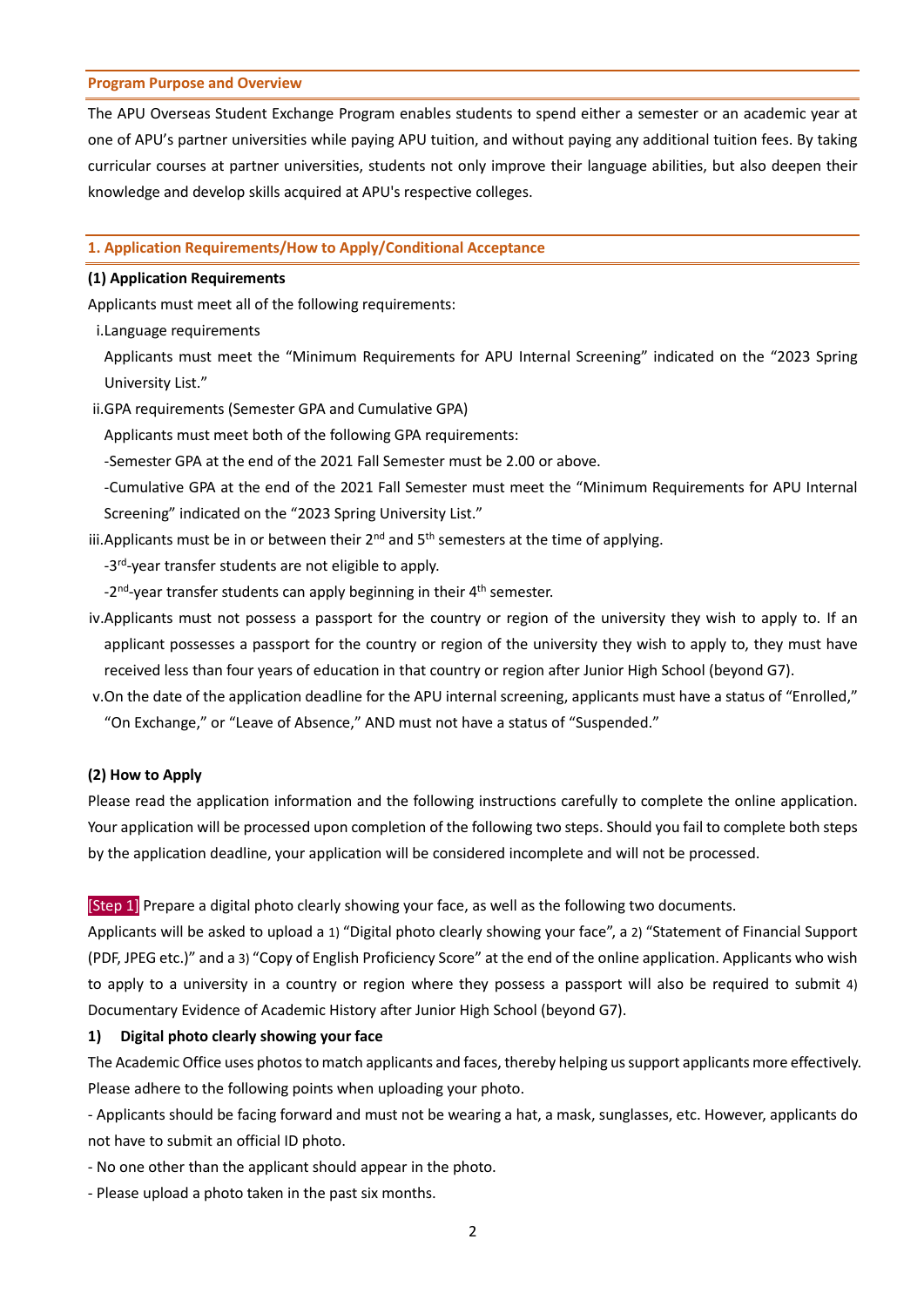#### **Program Purpose and Overview**

The APU Overseas Student Exchange Program enables students to spend either a semester or an academic year at one of APU's partner universities while paying APU tuition, and without paying any additional tuition fees. By taking curricular courses at partner universities, students not only improve their language abilities, but also deepen their knowledge and develop skills acquired at APU's respective colleges.

#### **1. Application Requirements/How to Apply/Conditional Acceptance**

#### **(1) Application Requirements**

Applicants must meet all of the following requirements:

i.Language requirements

Applicants must meet the "Minimum Requirements for APU Internal Screening" indicated on the "2023 Spring University List."

ii.GPA requirements (Semester GPA and Cumulative GPA)

Applicants must meet both of the following GPA requirements:

-Semester GPA at the end of the 2021 Fall Semester must be 2.00 or above.

-Cumulative GPA at the end of the 2021 Fall Semester must meet the "Minimum Requirements for APU Internal Screening" indicated on the "2023 Spring University List."

iii. Applicants must be in or between their  $2<sup>nd</sup>$  and  $5<sup>th</sup>$  semesters at the time of applying.

-3<sup>rd</sup>-year transfer students are not eligible to apply.

 $-2<sup>nd</sup>$ -year transfer students can apply beginning in their  $4<sup>th</sup>$  semester.

- iv.Applicants must not possess a passport for the country or region of the university they wish to apply to. If an applicant possesses a passport for the country or region of the university they wish to apply to, they must have received less than four years of education in that country or region after Junior High School (beyond G7).
- v.On the date of the application deadline for the APU internal screening, applicants must have a status of "Enrolled," "On Exchange," or "Leave of Absence," AND must not have a status of "Suspended."

## **(2) How to Apply**

Please read the application information and the following instructions carefully to complete the online application. Your application will be processed upon completion of the following two steps. Should you fail to complete both steps by the application deadline, your application will be considered incomplete and will not be processed.

[Step 1] Prepare a digital photo clearly showing your face, as well as the following two documents.

Applicants will be asked to upload a 1) "Digital photo clearly showing your face", a 2) "Statement of Financial Support (PDF, JPEG etc.)" and a 3) "Copy of English Proficiency Score" at the end of the online application. Applicants who wish to apply to a university in a country or region where they possess a passport will also be required to submit 4) Documentary Evidence of Academic History after Junior High School (beyond G7).

## **1) Digital photo clearly showing your face**

The Academic Office uses photos to match applicants and faces, thereby helping us support applicants more effectively. Please adhere to the following points when uploading your photo.

- Applicants should be facing forward and must not be wearing a hat, a mask, sunglasses, etc. However, applicants do not have to submit an official ID photo.

- No one other than the applicant should appear in the photo.
- Please upload a photo taken in the past six months.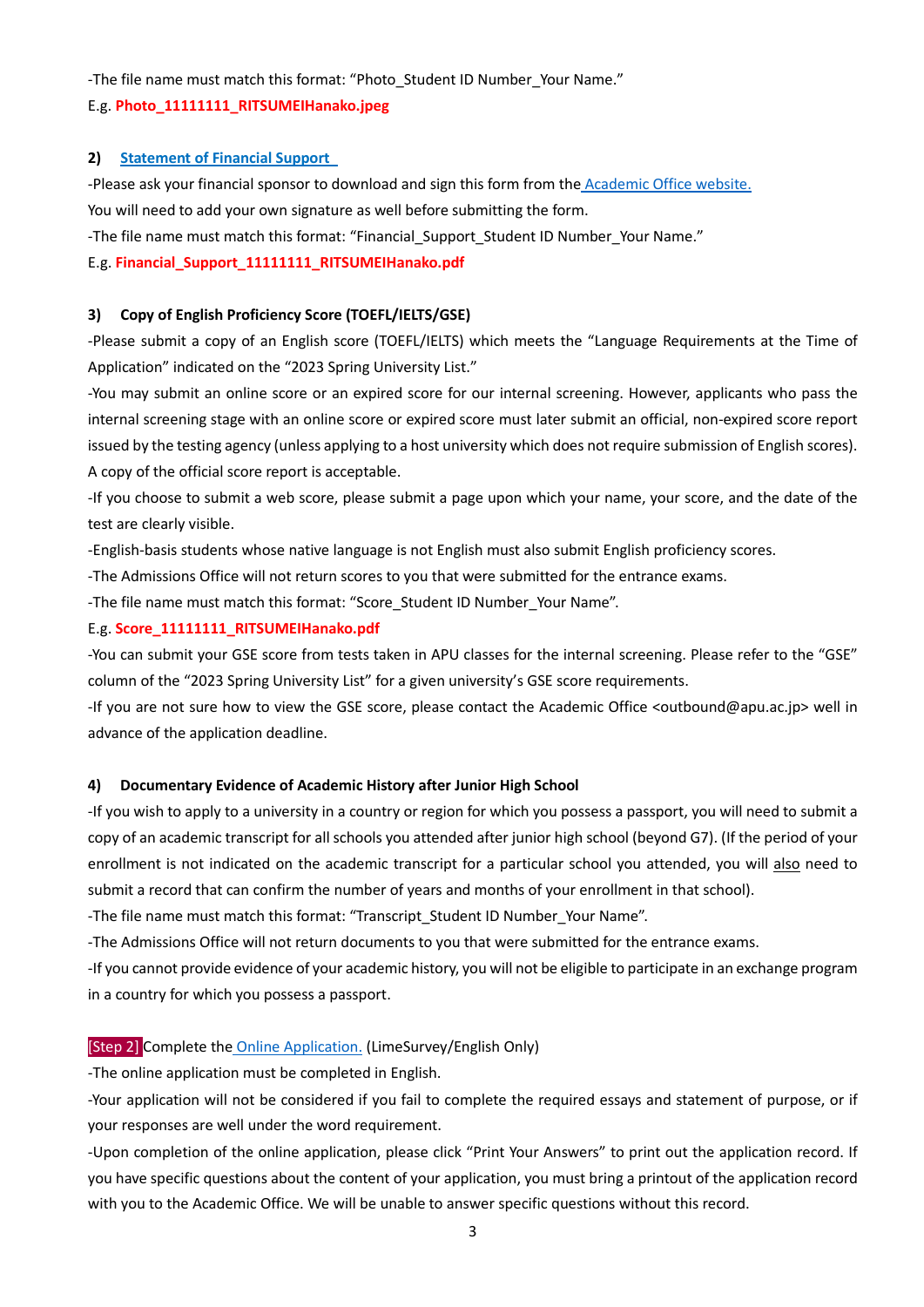-The file name must match this format: "Photo Student ID Number Your Name."

## E.g. **Photo\_11111111\_RITSUMEIHanako.jpeg**

## **2) [Statement of Financial Support](https://www.apu.ac.jp/academic/uploads/fckeditor/public/exchange/financialformE.docx)**

-Please ask your financial sponsor to download and sign this form from the [Academic Office](https://en.apu.ac.jp/academic/page/content0348.html/?c=17) website. You will need to add your own signature as well before submitting the form.

-The file name must match this format: "Financial\_Support\_Student ID Number\_Your Name."

## E.g. **Financial\_Support\_11111111\_RITSUMEIHanako.pdf**

## **3) Copy of English Proficiency Score (TOEFL/IELTS/GSE)**

-Please submit a copy of an English score (TOEFL/IELTS) which meets the "Language Requirements at the Time of Application" indicated on the "2023 Spring University List."

-You may submit an online score or an expired score for our internal screening. However, applicants who pass the internal screening stage with an online score or expired score must later submit an official, non-expired score report issued by the testing agency (unless applying to a host university which does not require submission of English scores). A copy of the official score report is acceptable.

-If you choose to submit a web score, please submit a page upon which your name, your score, and the date of the test are clearly visible.

-English-basis students whose native language is not English must also submit English proficiency scores.

-The Admissions Office will not return scores to you that were submitted for the entrance exams.

-The file name must match this format: "Score Student ID Number Your Name".

#### E.g. **Score\_11111111\_RITSUMEIHanako.pdf**

-You can submit your GSE score from tests taken in APU classes for the internal screening. Please refer to the "GSE" column of the "2023 Spring University List" for a given university's GSE score requirements.

-If you are not sure how to view the GSE score, please contact the Academic Office <outbound@apu.ac.jp> well in advance of the application deadline.

## **4) Documentary Evidence of Academic History after Junior High School**

-If you wish to apply to a university in a country or region for which you possess a passport, you will need to submit a copy of an academic transcript for all schools you attended after junior high school (beyond G7). (If the period of your enrollment is not indicated on the academic transcript for a particular school you attended, you will also need to submit a record that can confirm the number of years and months of your enrollment in that school).

-The file name must match this format: "Transcript\_Student ID Number\_Your Name".

-The Admissions Office will not return documents to you that were submitted for the entrance exams.

-If you cannot provide evidence of your academic history, you will not be eligible to participate in an exchange program in a country for which you possess a passport.

## [Step 2] Complete the [Online Application.](https://survey2.apu.ac.jp/limesurvey/index.php/912817?lang=en) (LimeSurvey/English Only)

-The online application must be completed in English.

-Your application will not be considered if you fail to complete the required essays and statement of purpose, or if your responses are well under the word requirement.

-Upon completion of the online application, please click "Print Your Answers" to print out the application record. If you have specific questions about the content of your application, you must bring a printout of the application record with you to the Academic Office. We will be unable to answer specific questions without this record.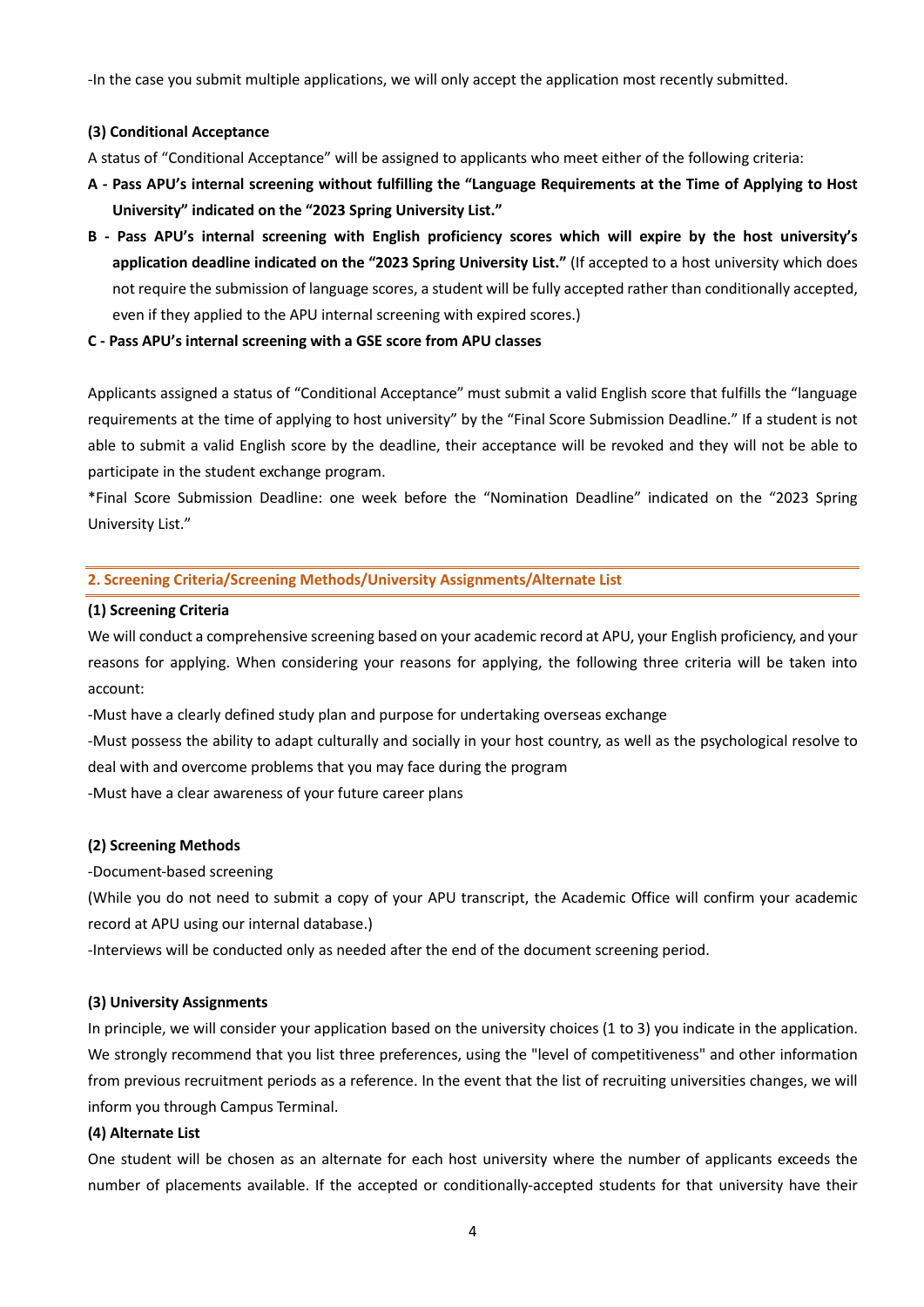-In the case you submit multiple applications, we will only accept the application most recently submitted.

#### **(3) Conditional Acceptance**

A status of "Conditional Acceptance" will be assigned to applicants who meet either of the following criteria:

- **A Pass APU's internal screening without fulfilling the "Language Requirements at the Time of Applying to Host University" indicated on the "2023 Spring University List."**
- **B Pass APU's internal screening with English proficiency scores which will expire by the host university's application deadline indicated on the "2023 Spring University List."** (If accepted to a host university which does not require the submission of language scores, a student will be fully accepted rather than conditionally accepted, even if they applied to the APU internal screening with expired scores.)
- **C Pass APU's internal screening with a GSE score from APU classes**

Applicants assigned a status of "Conditional Acceptance" must submit a valid English score that fulfills the "language requirements at the time of applying to host university" by the "Final Score Submission Deadline." If a student is not able to submit a valid English score by the deadline, their acceptance will be revoked and they will not be able to participate in the student exchange program.

\*Final Score Submission Deadline: one week before the "Nomination Deadline" indicated on the "2023 Spring University List."

#### **2. Screening Criteria/Screening Methods/University Assignments/Alternate List**

#### **(1) Screening Criteria**

We will conduct a comprehensive screening based on your academic record at APU, your English proficiency, and your reasons for applying. When considering your reasons for applying, the following three criteria will be taken into account:

-Must have a clearly defined study plan and purpose for undertaking overseas exchange

-Must possess the ability to adapt culturally and socially in your host country, as well as the psychological resolve to deal with and overcome problems that you may face during the program

-Must have a clear awareness of your future career plans

## **(2) Screening Methods**

-Document-based screening

(While you do not need to submit a copy of your APU transcript, the Academic Office will confirm your academic record at APU using our internal database.)

-Interviews will be conducted only as needed after the end of the document screening period.

#### **(3) University Assignments**

In principle, we will consider your application based on the university choices (1 to 3) you indicate in the application. We strongly recommend that you list three preferences, using the "level of competitiveness" and other information from previous recruitment periods as a reference. In the event that the list of recruiting universities changes, we will inform you through Campus Terminal.

## **(4) Alternate List**

One student will be chosen as an alternate for each host university where the number of applicants exceeds the number of placements available. If the accepted or conditionally-accepted students for that university have their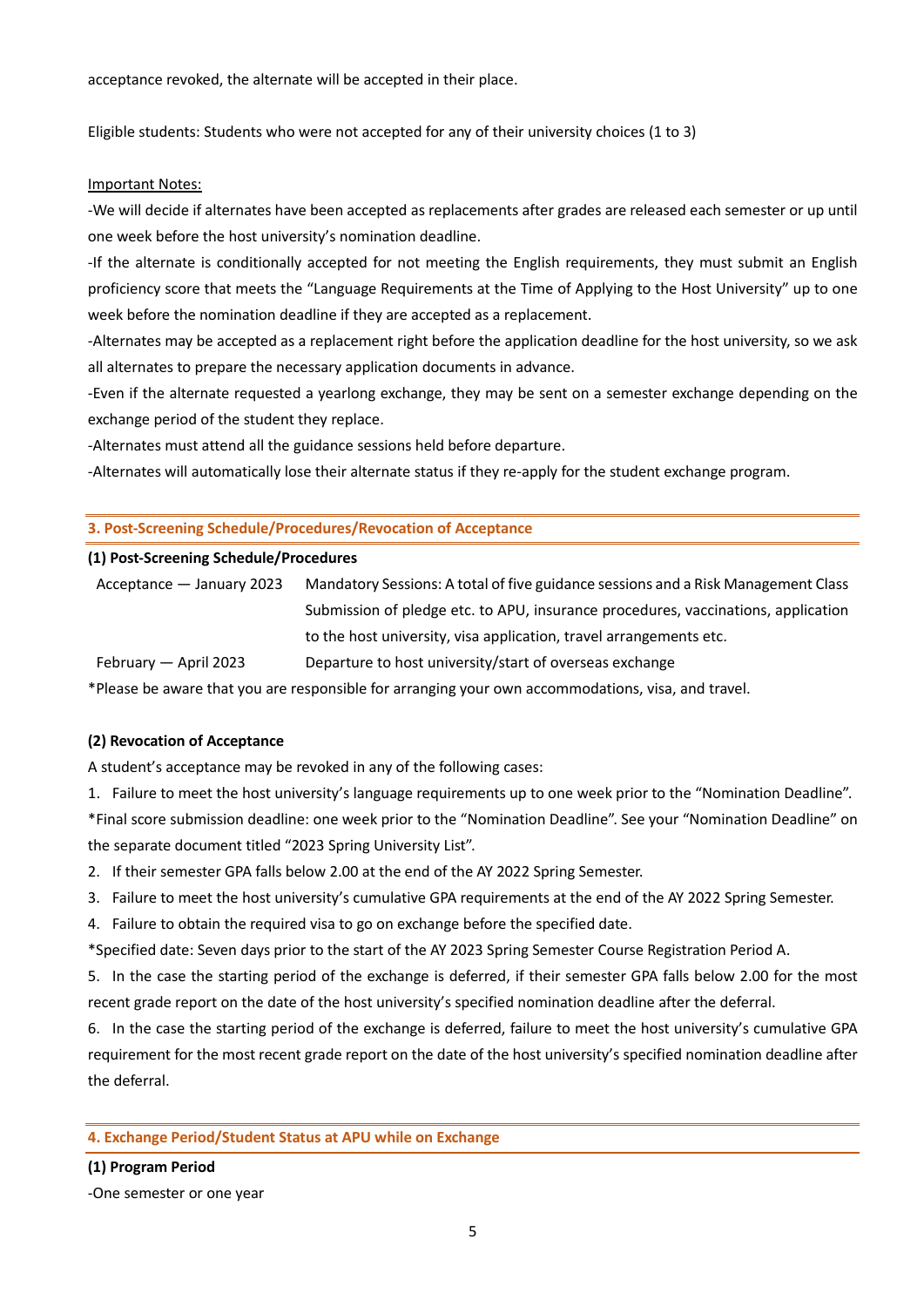acceptance revoked, the alternate will be accepted in their place.

Eligible students: Students who were not accepted for any of their university choices (1 to 3)

#### Important Notes:

-We will decide if alternates have been accepted as replacements after grades are released each semester or up until one week before the host university's nomination deadline.

-If the alternate is conditionally accepted for not meeting the English requirements, they must submit an English proficiency score that meets the "Language Requirements at the Time of Applying to the Host University" up to one week before the nomination deadline if they are accepted as a replacement.

-Alternates may be accepted as a replacement right before the application deadline for the host university, so we ask all alternates to prepare the necessary application documents in advance.

-Even if the alternate requested a yearlong exchange, they may be sent on a semester exchange depending on the exchange period of the student they replace.

-Alternates must attend all the guidance sessions held before departure.

-Alternates will automatically lose their alternate status if they re-apply for the student exchange program.

#### **3. Post-Screening Schedule/Procedures/Revocation of Acceptance**

#### **(1) Post-Screening Schedule/Procedures**

| Acceptance – January 2023 | Mandatory Sessions: A total of five guidance sessions and a Risk Management Class |
|---------------------------|-----------------------------------------------------------------------------------|
|                           | Submission of pledge etc. to APU, insurance procedures, vaccinations, application |
|                           | to the host university, visa application, travel arrangements etc.                |
| February — April 2023     | Departure to host university/start of overseas exchange                           |

\*Please be aware that you are responsible for arranging your own accommodations, visa, and travel.

#### **(2) Revocation of Acceptance**

A student's acceptance may be revoked in any of the following cases:

1. Failure to meet the host university's language requirements up to one week prior to the "Nomination Deadline".

\*Final score submission deadline: one week prior to the "Nomination Deadline". See your "Nomination Deadline" on the separate document titled "2023 Spring University List".

- 2. If their semester GPA falls below 2.00 at the end of the AY 2022 Spring Semester.
- 3. Failure to meet the host university's cumulative GPA requirements at the end of the AY 2022 Spring Semester.
- 4. Failure to obtain the required visa to go on exchange before the specified date.
- \*Specified date: Seven days prior to the start of the AY 2023 Spring Semester Course Registration Period A.
- 5. In the case the starting period of the exchange is deferred, if their semester GPA falls below 2.00 for the most recent grade report on the date of the host university's specified nomination deadline after the deferral.

6. In the case the starting period of the exchange is deferred, failure to meet the host university's cumulative GPA requirement for the most recent grade report on the date of the host university's specified nomination deadline after the deferral.

## **4. Exchange Period/Student Status at APU while on Exchange**

#### **(1) Program Period**

-One semester or one year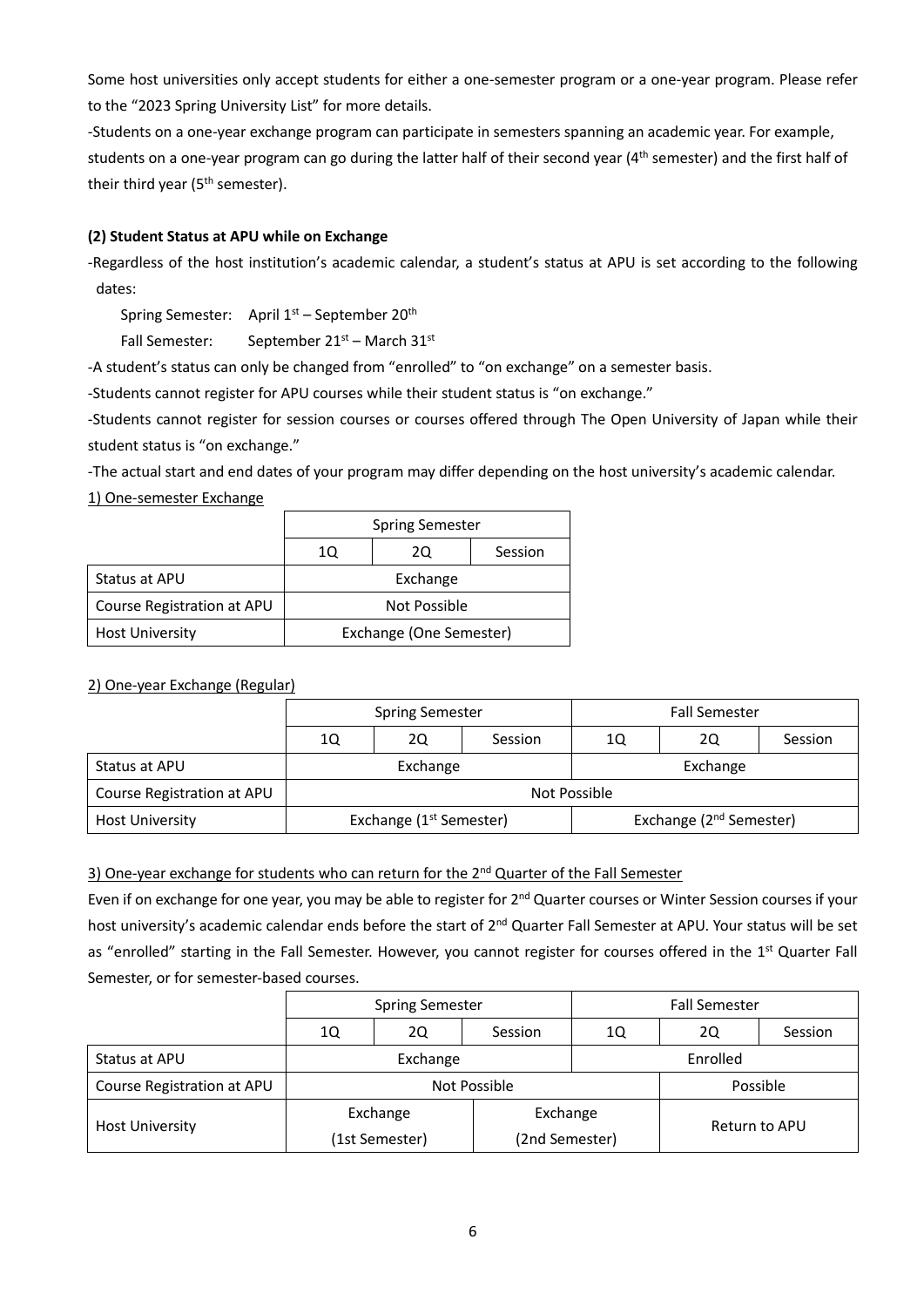Some host universities only accept students for either a one-semester program or a one-year program. Please refer to the "2023 Spring University List" for more details.

-Students on a one-year exchange program can participate in semesters spanning an academic year. For example, students on a one-year program can go during the latter half of their second year (4<sup>th</sup> semester) and the first half of their third year (5<sup>th</sup> semester).

## **(2) Student Status at APU while on Exchange**

-Regardless of the host institution's academic calendar, a student's status at APU is set according to the following dates:

Spring Semester: April 1<sup>st</sup> – September 20<sup>th</sup>

Fall Semester: September  $21^{st}$  – March  $31^{st}$ 

-A student's status can only be changed from "enrolled" to "on exchange" on a semester basis.

-Students cannot register for APU courses while their student status is "on exchange."

-Students cannot register for session courses or courses offered through The Open University of Japan while their student status is "on exchange."

-The actual start and end dates of your program may differ depending on the host university's academic calendar.

1) One-semester Exchange

|                            | <b>Spring Semester</b>  |  |  |  |  |
|----------------------------|-------------------------|--|--|--|--|
|                            | Session<br>10<br>20     |  |  |  |  |
| Status at APU              | Exchange                |  |  |  |  |
| Course Registration at APU | Not Possible            |  |  |  |  |
| <b>Host University</b>     | Exchange (One Semester) |  |  |  |  |

## 2) One-year Exchange (Regular)

|                            | Spring Semester                     |  |  | <b>Fall Semester</b> |                                     |         |
|----------------------------|-------------------------------------|--|--|----------------------|-------------------------------------|---------|
|                            | 20<br>10<br>Session                 |  |  | 10                   | 20                                  | Session |
| Status at APU              | Exchange                            |  |  | Exchange             |                                     |         |
| Course Registration at APU |                                     |  |  | Not Possible         |                                     |         |
| <b>Host University</b>     | Exchange (1 <sup>st</sup> Semester) |  |  |                      | Exchange (2 <sup>nd</sup> Semester) |         |

## 3) One-year exchange for students who can return for the 2<sup>nd</sup> Quarter of the Fall Semester

Even if on exchange for one year, you may be able to register for 2<sup>nd</sup> Quarter courses or Winter Session courses if your host university's academic calendar ends before the start of 2nd Quarter Fall Semester at APU. Your status will be set as "enrolled" starting in the Fall Semester. However, you cannot register for courses offered in the 1<sup>st</sup> Quarter Fall Semester, or for semester-based courses.

|                            | <b>Spring Semester</b> |          |         | <b>Fall Semester</b>            |          |          |  |
|----------------------------|------------------------|----------|---------|---------------------------------|----------|----------|--|
|                            | 1Q                     | 2Q       | Session | 1Q                              | 2Q       | Session  |  |
| Status at APU              |                        | Exchange |         |                                 | Enrolled |          |  |
| Course Registration at APU | Not Possible           |          |         |                                 |          | Possible |  |
|                            | Exchange               |          |         | Exchange                        |          |          |  |
| <b>Host University</b>     | (1st Semester)         |          |         | Return to APU<br>(2nd Semester) |          |          |  |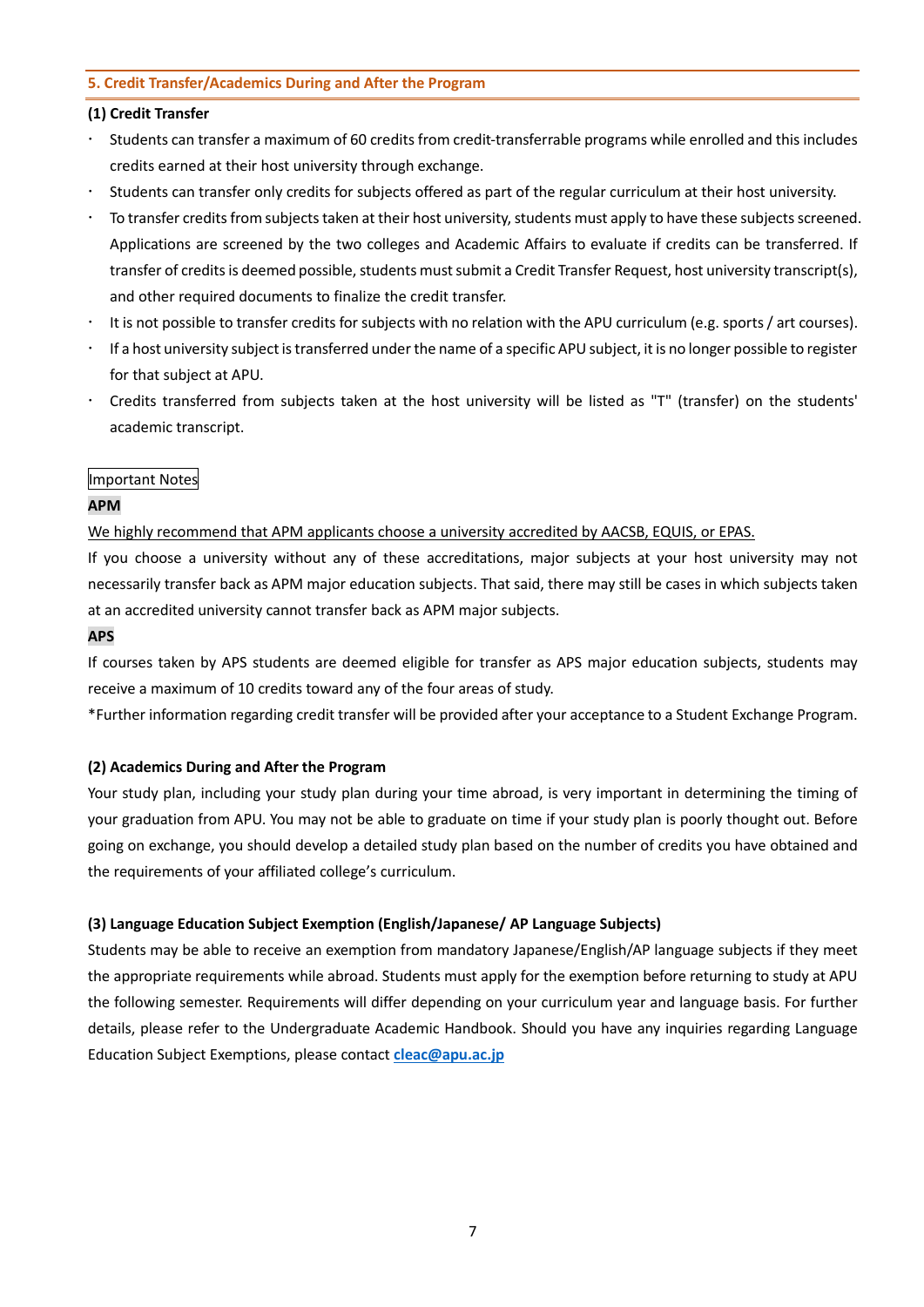## **5. Credit Transfer/Academics During and After the Program**

## **(1) Credit Transfer**

- Students can transfer a maximum of 60 credits from credit-transferrable programs while enrolled and this includes credits earned at their host university through exchange.
- Students can transfer only credits for subjects offered as part of the regular curriculum at their host university.
- To transfer credits from subjects taken at their host university, students must apply to have these subjects screened. Applications are screened by the two colleges and Academic Affairs to evaluate if credits can be transferred. If transfer of credits is deemed possible, students must submit a Credit Transfer Request, host university transcript(s), and other required documents to finalize the credit transfer.
- It is not possible to transfer credits for subjects with no relation with the APU curriculum (e.g. sports / art courses).
- If a host university subject is transferred under the name of a specific APU subject, it is no longer possible to register for that subject at APU.
- Credits transferred from subjects taken at the host university will be listed as "T" (transfer) on the students' academic transcript.

## Important Notes

## **APM**

We highly recommend that APM applicants choose a university accredited by AACSB, EQUIS, or EPAS.

If you choose a university without any of these accreditations, major subjects at your host university may not necessarily transfer back as APM major education subjects. That said, there may still be cases in which subjects taken at an accredited university cannot transfer back as APM major subjects.

## **APS**

If courses taken by APS students are deemed eligible for transfer as APS major education subjects, students may receive a maximum of 10 credits toward any of the four areas of study.

\*Further information regarding credit transfer will be provided after your acceptance to a Student Exchange Program.

## **(2) Academics During and After the Program**

Your study plan, including your study plan during your time abroad, is very important in determining the timing of your graduation from APU. You may not be able to graduate on time if your study plan is poorly thought out. Before going on exchange, you should develop a detailed study plan based on the number of credits you have obtained and the requirements of your affiliated college's curriculum.

## **(3) Language Education Subject Exemption (English/Japanese/ AP Language Subjects)**

Students may be able to receive an exemption from mandatory Japanese/English/AP language subjects if they meet the appropriate requirements while abroad. Students must apply for the exemption before returning to study at APU the following semester. Requirements will differ depending on your curriculum year and language basis. For further details, please refer to the Undergraduate Academic Handbook. Should you have any inquiries regarding Language Education Subject Exemptions, please contact **[cleac@apu.ac.jp](mailto:cleac@apu.ac.jp)**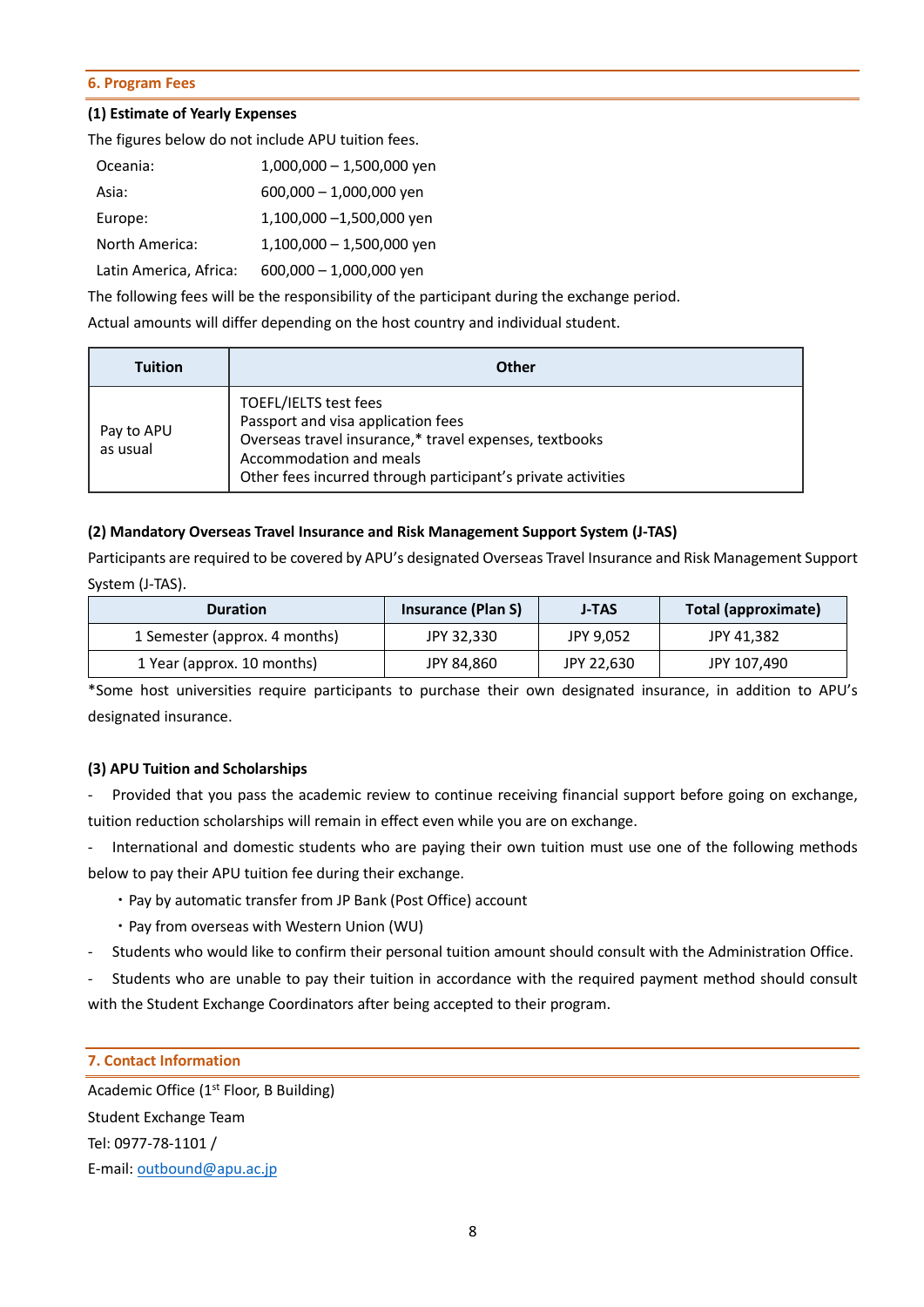#### **6. Program Fees**

## **(1) Estimate of Yearly Expenses**

The figures below do not include APU tuition fees.

| Oceania:               | $1,000,000 - 1,500,000$ yen |
|------------------------|-----------------------------|
| Asia:                  | $600,000 - 1,000,000$ yen   |
| Europe:                | 1,100,000 -1,500,000 yen    |
| North America:         | $1,100,000 - 1,500,000$ yen |
| Latin America, Africa: | $600,000 - 1,000,000$ yen   |

The following fees will be the responsibility of the participant during the exchange period.

Actual amounts will differ depending on the host country and individual student.

| <b>Tuition</b>         | Other                                                                                                                                                                                                            |
|------------------------|------------------------------------------------------------------------------------------------------------------------------------------------------------------------------------------------------------------|
| Pay to APU<br>as usual | TOEFL/IELTS test fees<br>Passport and visa application fees<br>Overseas travel insurance,* travel expenses, textbooks<br>Accommodation and meals<br>Other fees incurred through participant's private activities |

## **(2) Mandatory Overseas Travel Insurance and Risk Management Support System (J-TAS)**

Participants are required to be covered by APU's designated Overseas Travel Insurance and Risk Management Support System (J-TAS).

| <b>Duration</b>               | <b>Insurance (Plan S)</b> | J-TAS      | Total (approximate) |
|-------------------------------|---------------------------|------------|---------------------|
| 1 Semester (approx. 4 months) | JPY 32,330                | JPY 9,052  | JPY 41,382          |
| 1 Year (approx. 10 months)    | JPY 84,860                | JPY 22,630 | JPY 107,490         |

\*Some host universities require participants to purchase their own designated insurance, in addition to APU's designated insurance.

## **(3) APU Tuition and Scholarships**

- Provided that you pass the academic review to continue receiving financial support before going on exchange, tuition reduction scholarships will remain in effect even while you are on exchange.

- International and domestic students who are paying their own tuition must use one of the following methods below to pay their APU tuition fee during their exchange.

- ・Pay by automatic transfer from JP Bank (Post Office) account
- ・Pay from overseas with Western Union (WU)
- Students who would like to confirm their personal tuition amount should consult with the Administration Office.

- Students who are unable to pay their tuition in accordance with the required payment method should consult with the Student Exchange Coordinators after being accepted to their program.

## **7. Contact Information**

Academic Office  $(1<sup>st</sup>$  Floor, B Building) Student Exchange Team Tel: 0977-78-1101 / E-mail: [outbound@apu.ac.jp](mailto:outbound@apu.ac.jp)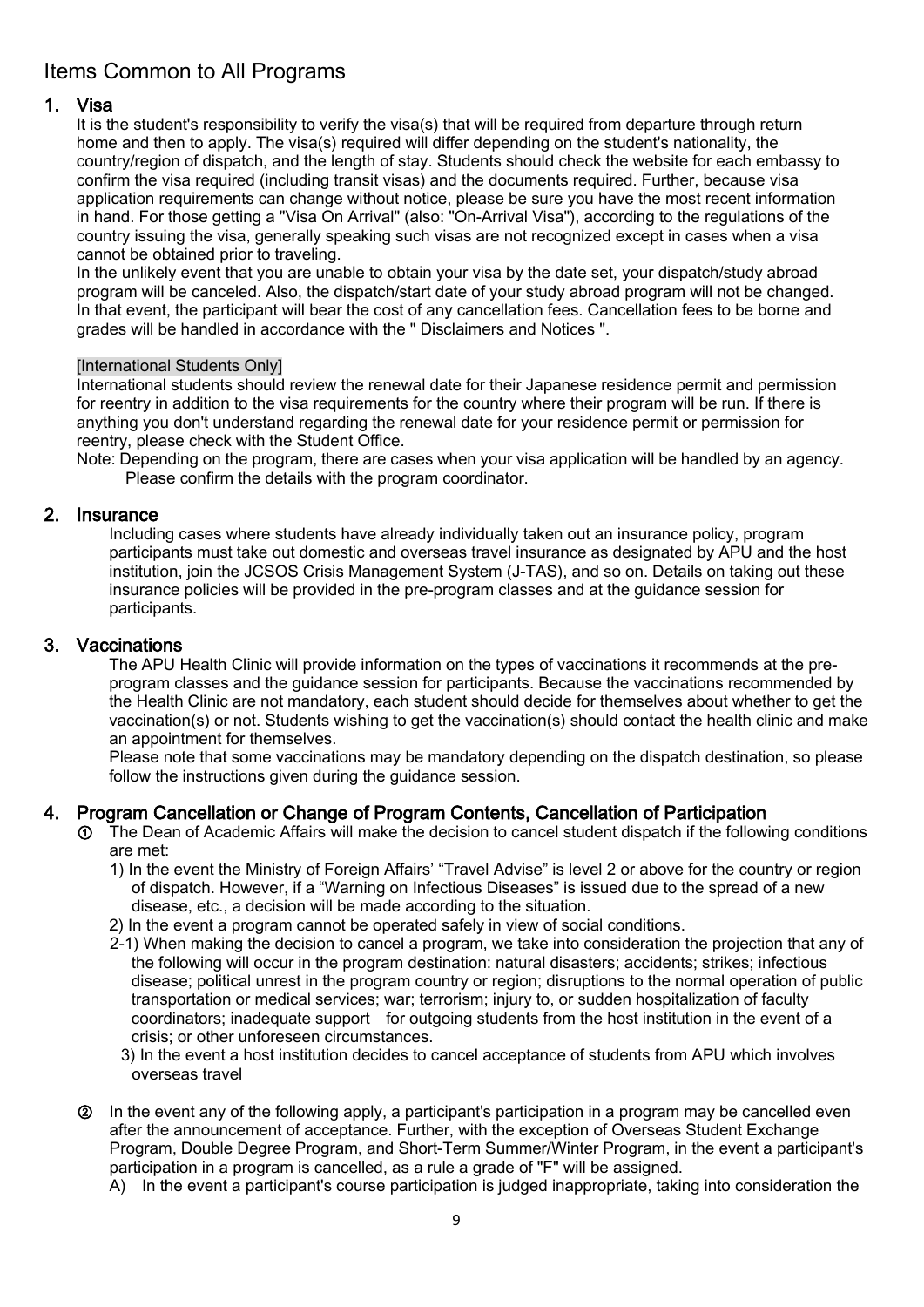# Items Common to All Programs

## 1. Visa

It is the student's responsibility to verify the visa(s) that will be required from departure through return home and then to apply. The visa(s) required will differ depending on the student's nationality, the country/region of dispatch, and the length of stay. Students should check the website for each embassy to confirm the visa required (including transit visas) and the documents required. Further, because visa application requirements can change without notice, please be sure you have the most recent information in hand. For those getting a "Visa On Arrival" (also: "On-Arrival Visa"), according to the regulations of the country issuing the visa, generally speaking such visas are not recognized except in cases when a visa cannot be obtained prior to traveling.

In the unlikely event that you are unable to obtain your visa by the date set, your dispatch/study abroad program will be canceled. Also, the dispatch/start date of your study abroad program will not be changed. In that event, the participant will bear the cost of any cancellation fees. Cancellation fees to be borne and grades will be handled in accordance with the " Disclaimers and Notices ".

## [International Students Only]

International students should review the renewal date for their Japanese residence permit and permission for reentry in addition to the visa requirements for the country where their program will be run. If there is anything you don't understand regarding the renewal date for your residence permit or permission for reentry, please check with the Student Office.

Note: Depending on the program, there are cases when your visa application will be handled by an agency. Please confirm the details with the program coordinator.

2. Insurance<br>Including cases where students have already individually taken out an insurance policy, program participants must take out domestic and overseas travel insurance as designated by APU and the host institution, join the JCSOS Crisis Management System (J-TAS), and so on. Details on taking out these insurance policies will be provided in the pre-program classes and at the guidance session for participants.

3. Vaccinations<br>The APU Health Clinic will provide information on the types of vaccinations it recommends at the preprogram classes and the guidance session for participants. Because the vaccinations recommended by the Health Clinic are not mandatory, each student should decide for themselves about whether to get the vaccination(s) or not. Students wishing to get the vaccination(s) should contact the health clinic and make an appointment for themselves.

Please note that some vaccinations may be mandatory depending on the dispatch destination, so please follow the instructions given during the guidance session.

## 4. Program Cancellation or Change of Program Contents, Cancellation of Participation

- ① The Dean of Academic Affairs will make the decision to cancel student dispatch if the following conditions are met:
	- 1) In the event the Ministry of Foreign Affairs' "Travel Advise" is level 2 or above for the country or region of dispatch. However, if a "Warning on Infectious Diseases" is issued due to the spread of a new disease, etc., a decision will be made according to the situation.
	- 2) In the event a program cannot be operated safely in view of social conditions.
	- 2-1) When making the decision to cancel a program, we take into consideration the projection that any of the following will occur in the program destination: natural disasters; accidents; strikes; infectious disease; political unrest in the program country or region; disruptions to the normal operation of public transportation or medical services; war; terrorism; injury to, or sudden hospitalization of faculty coordinators; inadequate support for outgoing students from the host institution in the event of a crisis; or other unforeseen circumstances.
	- 3) In the event a host institution decides to cancel acceptance of students from APU which involves overseas travel
- ② In the event any of the following apply, a participant's participation in a program may be cancelled even after the announcement of acceptance. Further, with the exception of Overseas Student Exchange Program, Double Degree Program, and Short-Term Summer/Winter Program, in the event a participant's participation in a program is cancelled, as a rule a grade of "F" will be assigned.
	- A) In the event a participant's course participation is judged inappropriate, taking into consideration the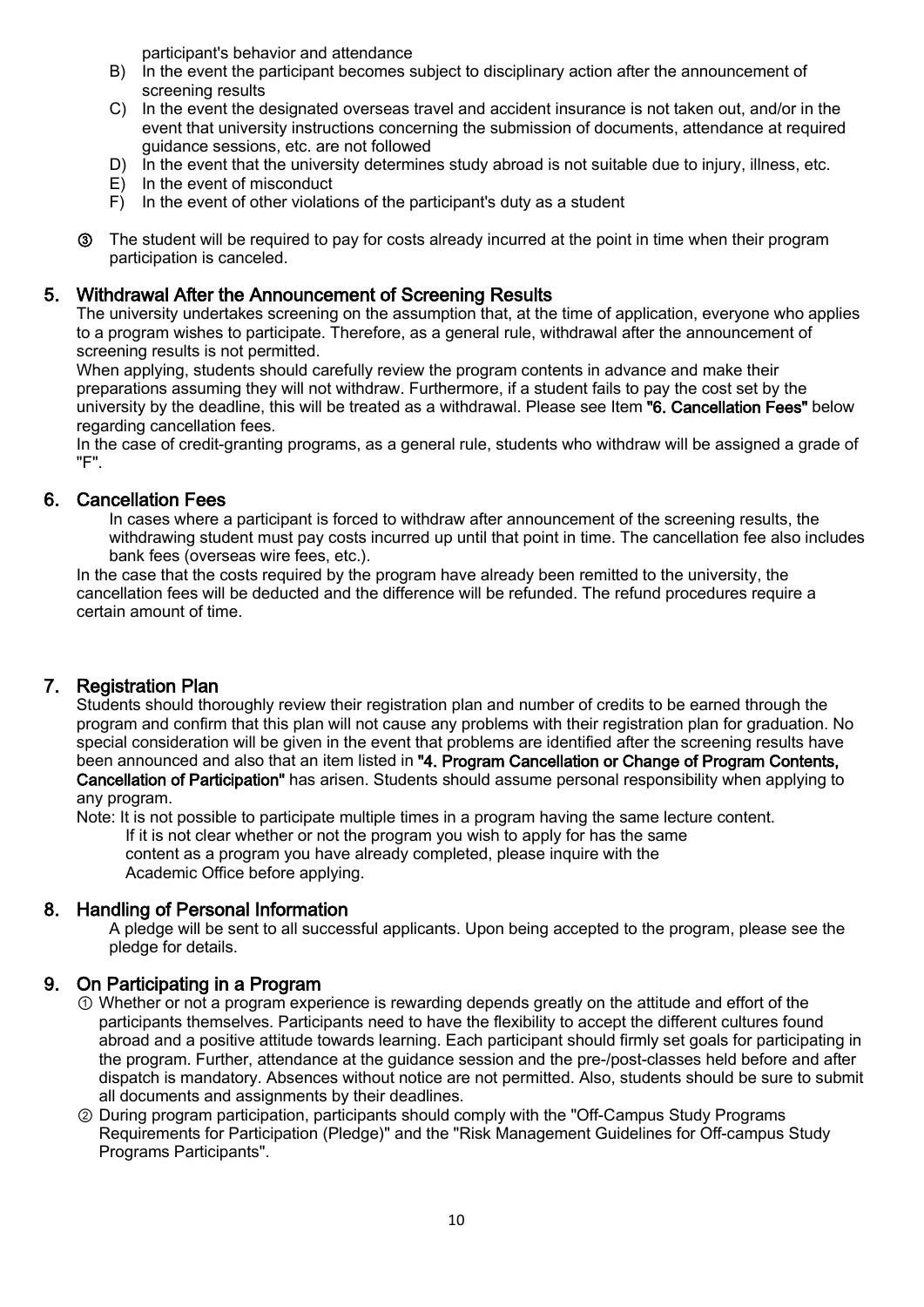participant's behavior and attendance

- B) In the event the participant becomes subject to disciplinary action after the announcement of screening results
- C) In the event the designated overseas travel and accident insurance is not taken out, and/or in the event that university instructions concerning the submission of documents, attendance at required guidance sessions, etc. are not followed
- D) In the event that the university determines study abroad is not suitable due to injury, illness, etc.
- E) In the event of misconduct
- F) In the event of other violations of the participant's duty as a student
- ③ The student will be required to pay for costs already incurred at the point in time when their program participation is canceled.

## 5. Withdrawal After the Announcement of Screening Results

The university undertakes screening on the assumption that, at the time of application, everyone who applies to a program wishes to participate. Therefore, as a general rule, withdrawal after the announcement of screening results is not permitted.

When applying, students should carefully review the program contents in advance and make their preparations assuming they will not withdraw. Furthermore, if a student fails to pay the cost set by the university by the deadline, this will be treated as a withdrawal. Please see Item "6. Cancellation Fees" below regarding cancellation fees.

In the case of credit-granting programs, as a general rule, students who withdraw will be assigned a grade of "F".

## 6. Cancellation Fees

In cases where a participant is forced to withdraw after announcement of the screening results, the withdrawing student must pay costs incurred up until that point in time. The cancellation fee also includes bank fees (overseas wire fees, etc.).

In the case that the costs required by the program have already been remitted to the university, the cancellation fees will be deducted and the difference will be refunded. The refund procedures require a certain amount of time.

## 7. Registration Plan

Students should thoroughly review their registration plan and number of credits to be earned through the program and confirm that this plan will not cause any problems with their registration plan for graduation. No special consideration will be given in the event that problems are identified after the screening results have been announced and also that an item listed in "4. Program Cancellation or Change of Program Contents, Cancellation of Participation" has arisen. Students should assume personal responsibility when applying to any program.

Note: It is not possible to participate multiple times in a program having the same lecture content. If it is not clear whether or not the program you wish to apply for has the same

content as a program you have already completed, please inquire with the Academic Office before applying.

## 8. Handling of Personal Information

A pledge will be sent to all successful applicants. Upon being accepted to the program, please see the pledge for details.

## 9. On Participating in a Program

- ① Whether or not a program experience is rewarding depends greatly on the attitude and effort of the participants themselves. Participants need to have the flexibility to accept the different cultures found abroad and a positive attitude towards learning. Each participant should firmly set goals for participating in the program. Further, attendance at the guidance session and the pre-/post-classes held before and after dispatch is mandatory. Absences without notice are not permitted. Also, students should be sure to submit all documents and assignments by their deadlines.
- ② During program participation, participants should comply with the "Off-Campus Study Programs Requirements for Participation (Pledge)" and the "Risk Management Guidelines for Off-campus Study Programs Participants".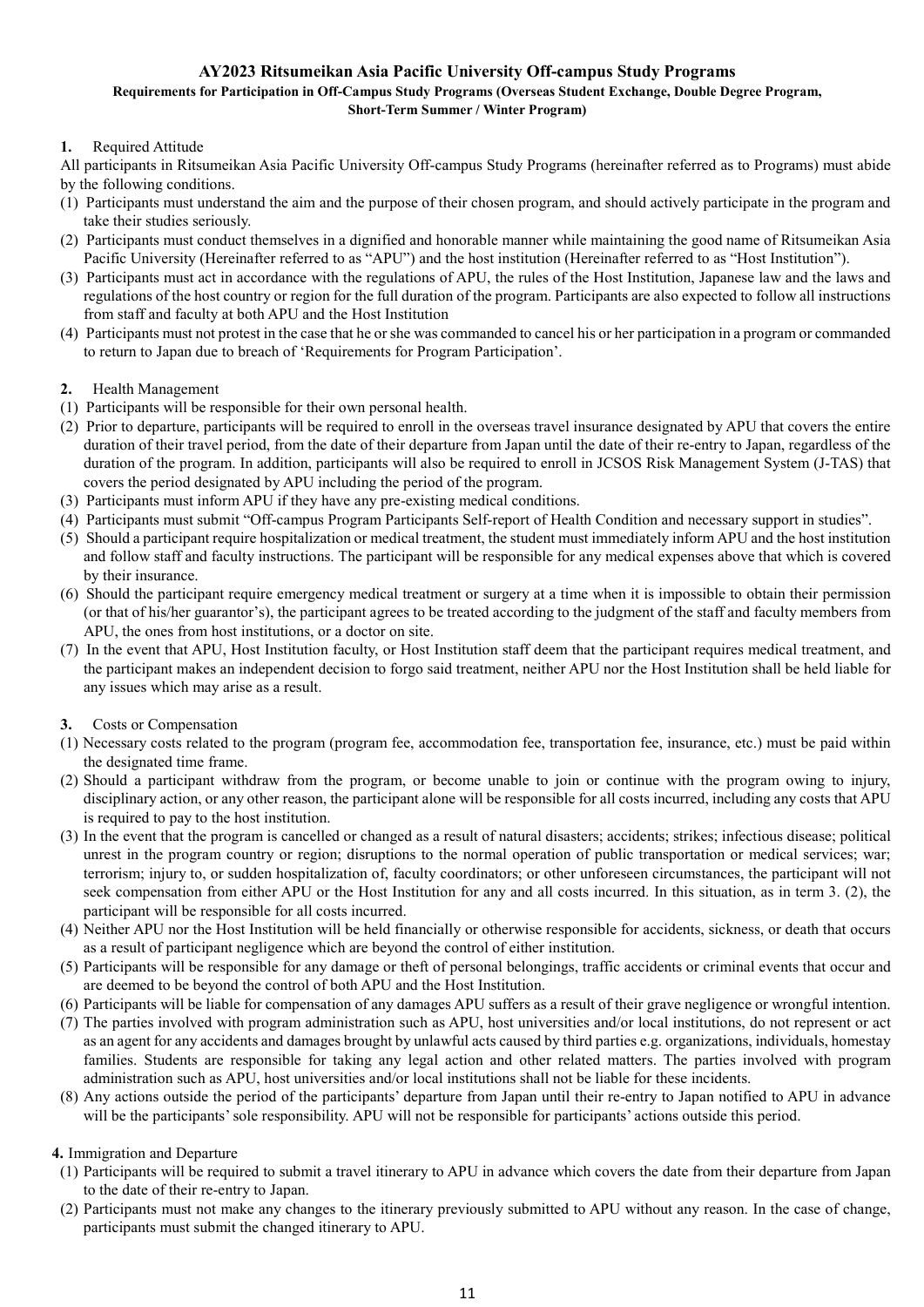## **AY2023 Ritsumeikan Asia Pacific University Off-campus Study Programs**

#### **Requirements for Participation in Off-Campus Study Programs (Overseas Student Exchange, Double Degree Program, Short-Term Summer / Winter Program)**

## **1.** Required Attitude

All participants in Ritsumeikan Asia Pacific University Off-campus Study Programs (hereinafter referred as to Programs) must abide by the following conditions.

- (1) Participants must understand the aim and the purpose of their chosen program, and should actively participate in the program and take their studies seriously.
- (2) Participants must conduct themselves in a dignified and honorable manner while maintaining the good name of Ritsumeikan Asia Pacific University (Hereinafter referred to as "APU") and the host institution (Hereinafter referred to as "Host Institution").
- (3) Participants must act in accordance with the regulations of APU, the rules of the Host Institution, Japanese law and the laws and regulations of the host country or region for the full duration of the program. Participants are also expected to follow all instructions from staff and faculty at both APU and the Host Institution
- (4) Participants must not protest in the case that he or she was commanded to cancel his or her participation in a program or commanded to return to Japan due to breach of 'Requirements for Program Participation'.

## **2.** Health Management

- (1) Participants will be responsible for their own personal health.
- (2) Prior to departure, participants will be required to enroll in the overseas travel insurance designated by APU that covers the entire duration of their travel period, from the date of their departure from Japan until the date of their re-entry to Japan, regardless of the duration of the program. In addition, participants will also be required to enroll in JCSOS Risk Management System (J-TAS) that covers the period designated by APU including the period of the program.
- (3) Participants must inform APU if they have any pre-existing medical conditions.
- (4) Participants must submit "Off-campus Program Participants Self-report of Health Condition and necessary support in studies".
- (5) Should a participant require hospitalization or medical treatment, the student must immediately inform APU and the host institution and follow staff and faculty instructions. The participant will be responsible for any medical expenses above that which is covered by their insurance.
- (6) Should the participant require emergency medical treatment or surgery at a time when it is impossible to obtain their permission (or that of his/her guarantor's), the participant agrees to be treated according to the judgment of the staff and faculty members from APU, the ones from host institutions, or a doctor on site.
- (7) In the event that APU, Host Institution faculty, or Host Institution staff deem that the participant requires medical treatment, and the participant makes an independent decision to forgo said treatment, neither APU nor the Host Institution shall be held liable for any issues which may arise as a result.
- **3.** Costs or Compensation
- (1) Necessary costs related to the program (program fee, accommodation fee, transportation fee, insurance, etc.) must be paid within the designated time frame.
- (2) Should a participant withdraw from the program, or become unable to join or continue with the program owing to injury, disciplinary action, or any other reason, the participant alone will be responsible for all costs incurred, including any costs that APU is required to pay to the host institution.
- (3) In the event that the program is cancelled or changed as a result of natural disasters; accidents; strikes; infectious disease; political unrest in the program country or region; disruptions to the normal operation of public transportation or medical services; war; terrorism; injury to, or sudden hospitalization of, faculty coordinators; or other unforeseen circumstances, the participant will not seek compensation from either APU or the Host Institution for any and all costs incurred. In this situation, as in term 3. (2), the participant will be responsible for all costs incurred.
- (4) Neither APU nor the Host Institution will be held financially or otherwise responsible for accidents, sickness, or death that occurs as a result of participant negligence which are beyond the control of either institution.
- (5) Participants will be responsible for any damage or theft of personal belongings, traffic accidents or criminal events that occur and are deemed to be beyond the control of both APU and the Host Institution.
- (6) Participants will be liable for compensation of any damages APU suffers as a result of their grave negligence or wrongful intention.
- (7) The parties involved with program administration such as APU, host universities and/or local institutions, do not represent or act as an agent for any accidents and damages brought by unlawful acts caused by third parties e.g. organizations, individuals, homestay families. Students are responsible for taking any legal action and other related matters. The parties involved with program administration such as APU, host universities and/or local institutions shall not be liable for these incidents.
- (8) Any actions outside the period of the participants' departure from Japan until their re-entry to Japan notified to APU in advance will be the participants' sole responsibility. APU will not be responsible for participants' actions outside this period.

## **4.** Immigration and Departure

- (1) Participants will be required to submit a travel itinerary to APU in advance which covers the date from their departure from Japan to the date of their re-entry to Japan.
- (2) Participants must not make any changes to the itinerary previously submitted to APU without any reason. In the case of change, participants must submit the changed itinerary to APU.